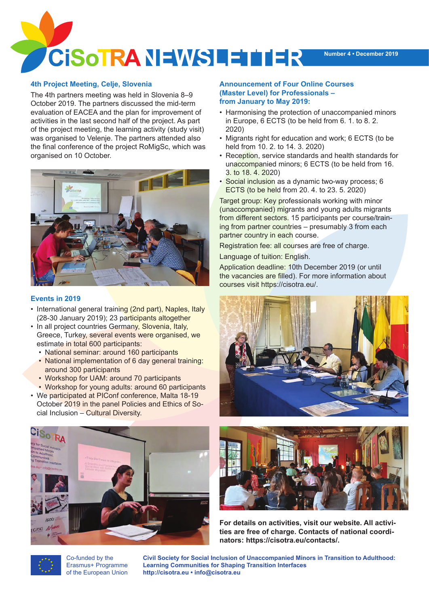

# **4th Project Meeting, Celje, Slovenia**

The 4th partners meeting was held in Slovenia 8–9 October 2019. The partners discussed the mid-term evaluation of EACEA and the plan for improvement of activities in the last second half of the project. As part of the project meeting, the learning activity (study visit) was organised to Velenje. The partners attended also the final conference of the project RoMigSc, which was organised on 10 October.



# **Events in 2019**

- International general training (2nd part), Naples, Italy (28-30 January 2019); 23 participants altogether
- In all project countries Germany, Slovenia, Italy, Greece, Turkey, several events were organised, we estimate in total 600 participants:
	- National seminar: around 160 participants
	- National implementation of 6 day general training: around 300 participants
	- Workshop for UAM: around 70 participants
	- Workshop for young adults: around 60 participants
- We participated at PIConf conference, Malta 18-19 October 2019 in the panel Policies and Ethics of Social Inclusion – Cultural Diversity.



Co-funded by the Erasmus+ Programme of the European Union

## **Announcement of Four Online Courses (Master Level) for Professionals – from January to May 2019:**

- Harmonising the protection of unaccompanied minors in Europe, 6 ECTS (to be held from 6. 1. to 8. 2. 2020)
- Migrants right for education and work; 6 ECTS (to be held from 10. 2. to 14. 3. 2020)
- Reception, service standards and health standards for unaccompanied minors; 6 ECTS (to be held from 16. 3. to 18. 4. 2020)
- Social inclusion as a dynamic two-way process; 6 ECTS (to be held from 20. 4. to 23. 5. 2020)

Target group: Key professionals working with minor (unaccompanied) migrants and young adults migrants from different sectors. 15 participants per course/training from partner countries – presumably 3 from each partner country in each course.

Registration fee: all courses are free of charge.

Language of tuition: English.

Application deadline: 10th December 2019 (or until the vacancies are filled). For more information about courses visit https://cisotra.eu/.





**For details on activities, visit our website. All activities are free of charge. Contacts of national coordinators: https://cisotra.eu/contacts/.**

**Civil Society for Social Inclusion of Unaccompanied Minors in Transition to Adulthood: Learning Communities for Shaping Transition Interfaces http://cisotra.eu • info@cisotra.eu**